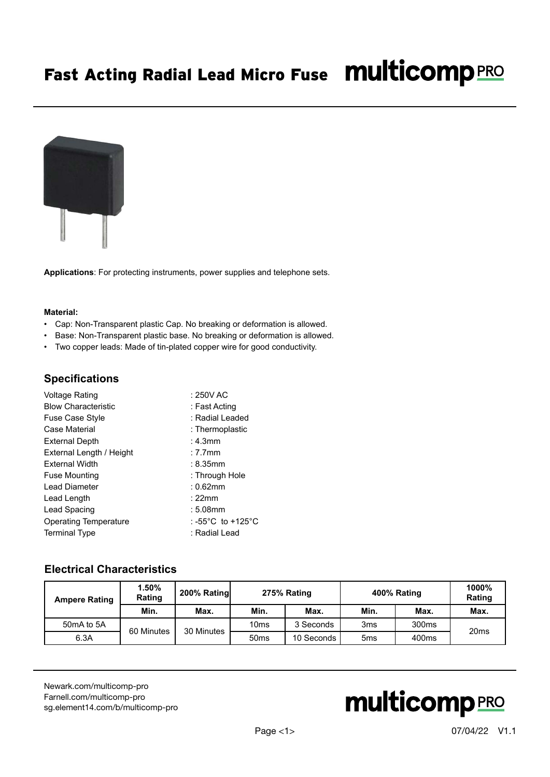# Fast Acting Radial Lead Micro Fuse Multicomp PRO



**Applications**: For protecting instruments, power supplies and telephone sets.

#### **Material:**

- Cap: Non-Transparent plastic Cap. No breaking or deformation is allowed.
- Base: Non-Transparent plastic base. No breaking or deformation is allowed.
- Two copper leads: Made of tin-plated copper wire for good conductivity.

#### **Specifications**

| Voltage Rating               | $: 250V$ AC       |
|------------------------------|-------------------|
| <b>Blow Characteristic</b>   | : Fast Acting     |
| <b>Fuse Case Style</b>       | : Radial Leaded   |
| Case Material                | : Thermoplastic   |
| <b>External Depth</b>        | $: 4.3$ mm        |
| External Length / Height     | $: 7.7$ mm        |
| <b>External Width</b>        | $: 8.35$ mm       |
| <b>Fuse Mounting</b>         | : Through Hole    |
| Lead Diameter                | $: 0.62$ mm       |
| Lead Length                  | :22mm             |
| Lead Spacing                 | $:5.08$ mm        |
| <b>Operating Temperature</b> | : -55°C_to +125°C |
| <b>Terminal Type</b>         | : Radial Lead     |

#### **Electrical Characteristics**

| <b>Ampere Rating</b> | $1.50\%$<br>Rating | 200% Rating              | 275% Rating      |            | 400% Rating     |                   | 1000%<br>Rating  |
|----------------------|--------------------|--------------------------|------------------|------------|-----------------|-------------------|------------------|
|                      | Min.               | Max.                     | Min.             | Max.       | Min.            | Max.              | Max.             |
| 50mA to 5A           |                    | 30 Minutes<br>60 Minutes | 10 <sub>ms</sub> | 3 Seconds  | 3 <sub>ms</sub> | 300 <sub>ms</sub> |                  |
| 6.3A                 |                    |                          | 50 <sub>ms</sub> | 10 Seconds | 5 <sub>ms</sub> | 400ms             | 20 <sub>ms</sub> |

[Newark.com/multicomp-](https://www.newark.com/multicomp-pro)pro [Farnell.com/multicomp](https://www.farnell.com/multicomp-pro)-pro [sg.element14.com/b/multicomp-pro](https://sg.element14.com/b/multicomp-pro)

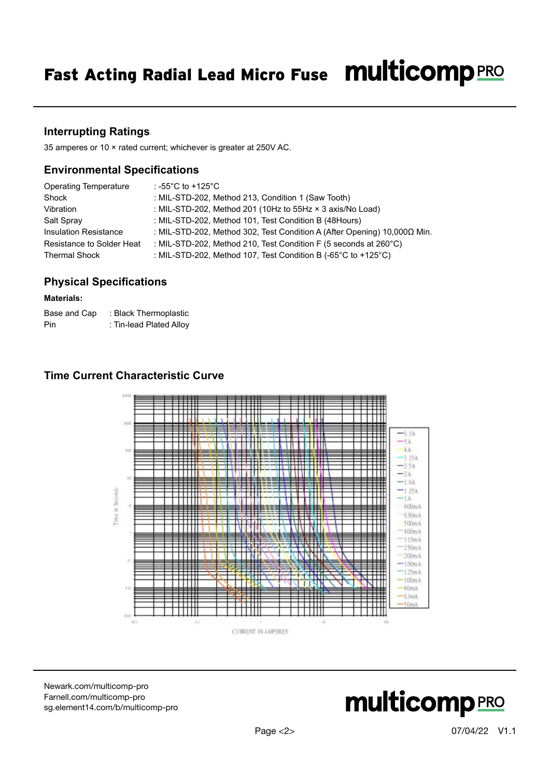# **Interrupting Ratings**

35 amperes or 10 × rated current; whichever is greater at 250V AC.

## **Environmental Specifications**

| <b>Operating Temperature</b> | : -55°C to +125°C                                                                   |
|------------------------------|-------------------------------------------------------------------------------------|
| Shock                        | : MIL-STD-202, Method 213, Condition 1 (Saw Tooth)                                  |
| Vibration                    | : MIL-STD-202, Method 201 (10Hz to 55Hz × 3 axis/No Load)                           |
| Salt Spray                   | : MIL-STD-202, Method 101, Test Condition B (48Hours)                               |
| <b>Insulation Resistance</b> | : MIL-STD-202, Method 302, Test Condition A (After Opening) 10,000Ω Min.            |
| Resistance to Solder Heat    | : MIL-STD-202, Method 210, Test Condition F (5 seconds at 260 $^{\circ}$ C)         |
| <b>Thermal Shock</b>         | : MIL-STD-202, Method 107, Test Condition B (-65 $^{\circ}$ C to +125 $^{\circ}$ C) |

# **Physical Specifications**

#### **Materials:**

| Base and Cap | : Black Thermoplastic   |
|--------------|-------------------------|
| Pin          | : Tin-lead Plated Alloy |

# **Time Current Characteristic Curve**



[Newark.com/multicomp-](https://www.newark.com/multicomp-pro)pro [Farnell.com/multicomp](https://www.farnell.com/multicomp-pro)-pro [sg.element14.com/b/multicomp-pro](https://sg.element14.com/b/multicomp-pro)

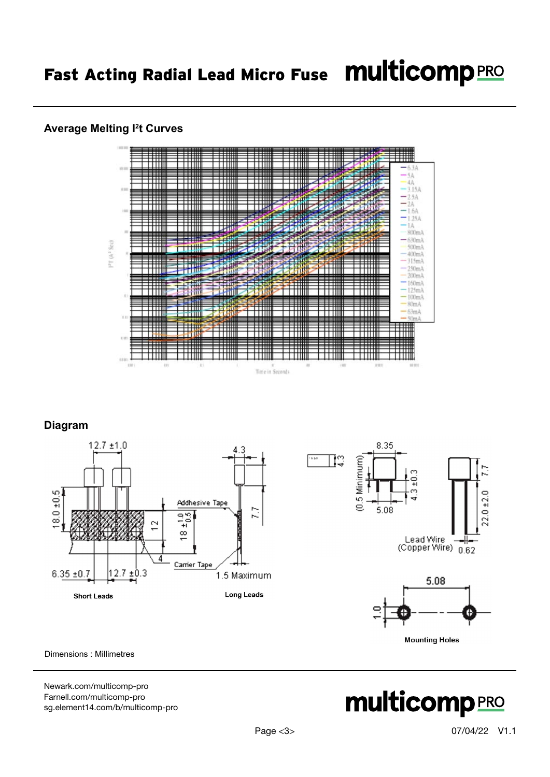## **Average Melting I2 t Curves**



# **Diagram**







Dimensions : Millimetres

[Newark.com/multicomp-](https://www.newark.com/multicomp-pro)pro [Farnell.com/multicomp](https://www.farnell.com/multicomp-pro)-pro [sg.element14.com/b/multicomp-pro](https://sg.element14.com/b/multicomp-pro)

# **multicomp**PRO